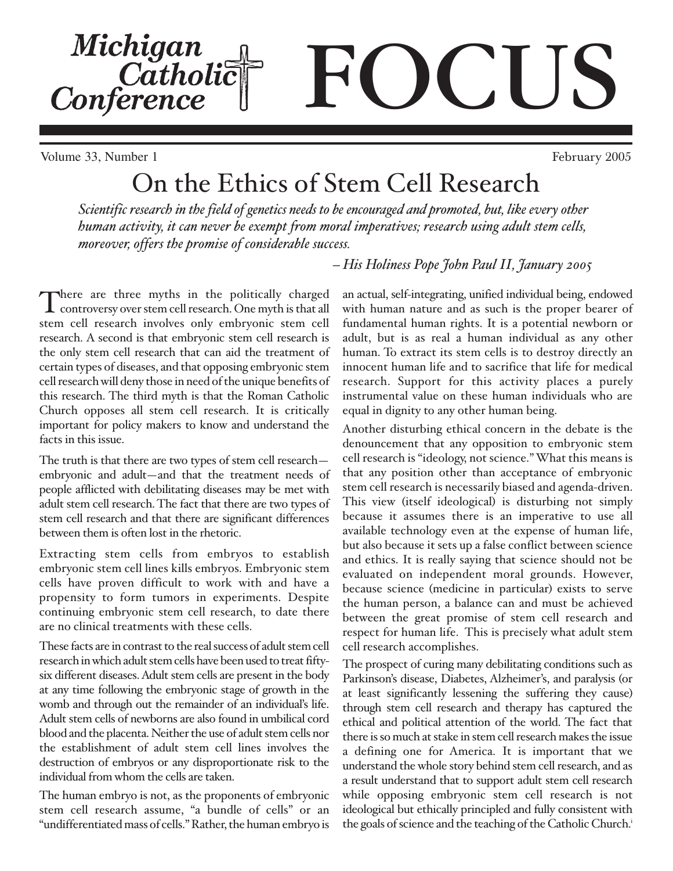Michigan<br>Catholic<br>Conference  $\blacksquare$ 

Volume 33, Number 1 February 2005

# On the Ethics of Stem Cell Research

*Scientific research in the field of genetics needs to be encouraged and promoted, but, like every other human activity, it can never be exempt from moral imperatives; research using adult stem cells, moreover, offers the promise of considerable success.* 

There are three myths in the politically charged<br>
controversy over stem cell research. One myth is that all stem cell research involves only embryonic stem cell research. A second is that embryonic stem cell research is the only stem cell research that can aid the treatment of certain types of diseases, and that opposing embryonic stem cell research will deny those in need of the unique benefits of this research. The third myth is that the Roman Catholic Church opposes all stem cell research. It is critically important for policy makers to know and understand the facts in this issue.

The truth is that there are two types of stem cell research embryonic and adult—and that the treatment needs of people afflicted with debilitating diseases may be met with adult stem cell research. The fact that there are two types of stem cell research and that there are significant differences between them is often lost in the rhetoric.

Extracting stem cells from embryos to establish embryonic stem cell lines kills embryos. Embryonic stem cells have proven difficult to work with and have a propensity to form tumors in experiments. Despite continuing embryonic stem cell research, to date there are no clinical treatments with these cells.

These facts are in contrast to the real success of adult stem cell research in which adult stem cells have been used to treat fiftysix different diseases. Adult stem cells are present in the body at any time following the embryonic stage of growth in the womb and through out the remainder of an individual's life. Adult stem cells of newborns are also found in umbilical cord blood and the placenta. Neither the use of adult stem cells nor the establishment of adult stem cell lines involves the destruction of embryos or any disproportionate risk to the individual from whom the cells are taken.

The human embryo is not, as the proponents of embryonic stem cell research assume, "a bundle of cells" or an "undifferentiated mass of cells." Rather, the human embryo is

*– His Holiness Pope John Paul II, January 2005* 

an actual, self-integrating, unified individual being, endowed with human nature and as such is the proper bearer of fundamental human rights. It is a potential newborn or adult, but is as real a human individual as any other human. To extract its stem cells is to destroy directly an innocent human life and to sacrifice that life for medical research. Support for this activity places a purely instrumental value on these human individuals who are equal in dignity to any other human being.

Another disturbing ethical concern in the debate is the denouncement that any opposition to embryonic stem cell research is "ideology, not science." What this means is that any position other than acceptance of embryonic stem cell research is necessarily biased and agenda-driven. This view (itself ideological) is disturbing not simply because it assumes there is an imperative to use all available technology even at the expense of human life, but also because it sets up a false conflict between science and ethics. It is really saying that science should not be evaluated on independent moral grounds. However, because science (medicine in particular) exists to serve the human person, a balance can and must be achieved between the great promise of stem cell research and respect for human life. This is precisely what adult stem cell research accomplishes.

The prospect of curing many debilitating conditions such as Parkinson's disease, Diabetes, Alzheimer's, and paralysis (or at least significantly lessening the suffering they cause) through stem cell research and therapy has captured the ethical and political attention of the world. The fact that there is so much at stake in stem cell research makes the issue a defining one for America. It is important that we understand the whole story behind stem cell research, and as a result understand that to support adult stem cell research while opposing embryonic stem cell research is not ideological but ethically principled and fully consistent with the goals of science and the teaching of the Catholic Church.<sup>i</sup>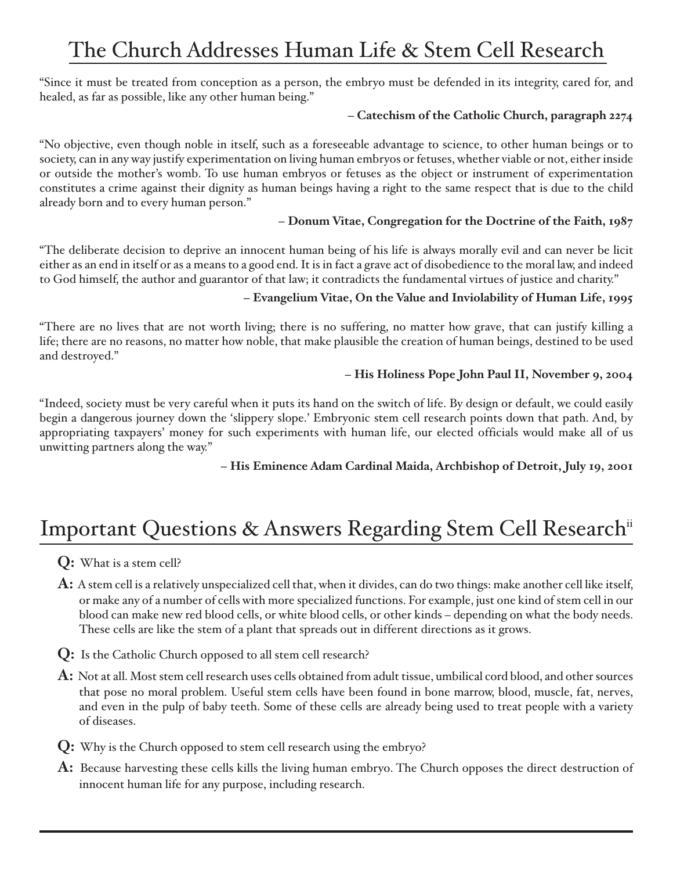## The Church Addresses Human Life & Stem Cell Research

"Since it must be treated from conception as a person, the embryo must be defended in its integrity, cared for, and healed, as far as possible, like any other human being."

#### **– Catechism of the Catholic Church, paragraph 2274**

"No objective, even though noble in itself, such as a foreseeable advantage to science, to other human beings or to society, can in any way justify experimentation on living human embryos or fetuses, whether viable or not, either inside or outside the mother's womb. To use human embryos or fetuses as the object or instrument of experimentation constitutes a crime against their dignity as human beings having a right to the same respect that is due to the child already born and to every human person."

#### **– Donum Vitae, Congregation for the Doctrine of the Faith, 1987**

"The deliberate decision to deprive an innocent human being of his life is always morally evil and can never be licit either as an end in itself or as a means to a good end. It is in fact a grave act of disobedience to the moral law, and indeed to God himself, the author and guarantor of that law; it contradicts the fundamental virtues of justice and charity."

#### **– Evangelium Vitae, On the Value and Inviolability of Human Life, 1995**

"There are no lives that are not worth living; there is no suffering, no matter how grave, that can justify killing a life; there are no reasons, no matter how noble, that make plausible the creation of human beings, destined to be used and destroyed."

#### **– His Holiness Pope John Paul II, November 9, 2004**

"Indeed, society must be very careful when it puts its hand on the switch of life. By design or default, we could easily begin a dangerous journey down the 'slippery slope.' Embryonic stem cell research points down that path. And, by appropriating taxpayers' money for such experiments with human life, our elected officials would make all of us unwitting partners along the way."

**– His Eminence Adam Cardinal Maida, Archbishop of Detroit, July 19, 2001**

### Important Questions & Answers Regarding Stem Cell Research<sup>ii</sup>

**Q:** What is a stem cell?

**A:** A stem cell is a relatively unspecialized cell that, when it divides, can do two things: make another cell like itself, or make any of a number of cells with more specialized functions. For example, just one kind of stem cell in our blood can make new red blood cells, or white blood cells, or other kinds – depending on what the body needs. These cells are like the stem of a plant that spreads out in different directions as it grows.

**Q:** Is the Catholic Church opposed to all stem cell research?

**A:** Not at all. Most stem cell research uses cells obtained from adult tissue, umbilical cord blood, and other sources that pose no moral problem. Useful stem cells have been found in bone marrow, blood, muscle, fat, nerves, and even in the pulp of baby teeth. Some of these cells are already being used to treat people with a variety of diseases.

- **Q:** Why is the Church opposed to stem cell research using the embryo?
- **A:** Because harvesting these cells kills the living human embryo. The Church opposes the direct destruction of innocent human life for any purpose, including research.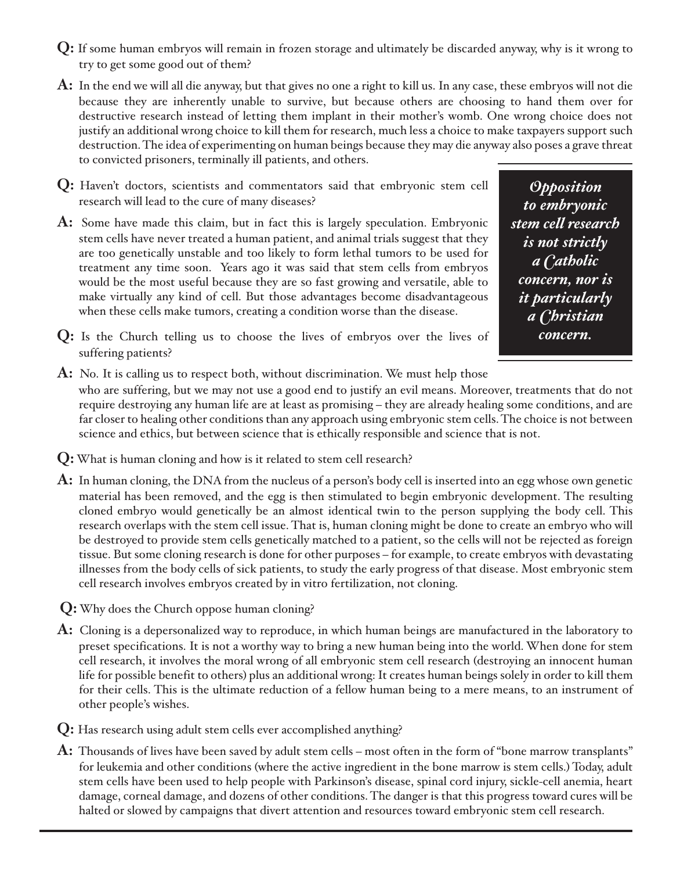- **Q:** If some human embryos will remain in frozen storage and ultimately be discarded anyway, why is it wrong to try to get some good out of them?
- **A:** In the end we will all die anyway, but that gives no one a right to kill us. In any case, these embryos will not die because they are inherently unable to survive, but because others are choosing to hand them over for destructive research instead of letting them implant in their mother's womb. One wrong choice does not justify an additional wrong choice to kill them for research, much less a choice to make taxpayers support such destruction. The idea of experimenting on human beings because they may die anyway also poses a grave threat to convicted prisoners, terminally ill patients, and others.
- **Q:** Haven't doctors, scientists and commentators said that embryonic stem cell research will lead to the cure of many diseases?
- **A:** Some have made this claim, but in fact this is largely speculation. Embryonic stem cells have never treated a human patient, and animal trials suggest that they are too genetically unstable and too likely to form lethal tumors to be used for treatment any time soon. Years ago it was said that stem cells from embryos would be the most useful because they are so fast growing and versatile, able to make virtually any kind of cell. But those advantages become disadvantageous when these cells make tumors, creating a condition worse than the disease.

*Opposition to embryonic stem cell research is not strictly a Catholic concern, nor is it particularly a Christian concern.*

- **Q:** Is the Church telling us to choose the lives of embryos over the lives of suffering patients?
- **A:** No. It is calling us to respect both, without discrimination. We must help those who are suffering, but we may not use a good end to justify an evil means. Moreover, treatments that do not require destroying any human life are at least as promising – they are already healing some conditions, and are far closer to healing other conditions than any approach using embryonic stem cells. The choice is not between science and ethics, but between science that is ethically responsible and science that is not.
- **Q:**What is human cloning and how is it related to stem cell research?
- **A:** In human cloning, the DNA from the nucleus of a person's body cell is inserted into an egg whose own genetic material has been removed, and the egg is then stimulated to begin embryonic development. The resulting cloned embryo would genetically be an almost identical twin to the person supplying the body cell. This research overlaps with the stem cell issue. That is, human cloning might be done to create an embryo who will be destroyed to provide stem cells genetically matched to a patient, so the cells will not be rejected as foreign tissue. But some cloning research is done for other purposes – for example, to create embryos with devastating illnesses from the body cells of sick patients, to study the early progress of that disease. Most embryonic stem cell research involves embryos created by in vitro fertilization, not cloning.
- **Q:**Why does the Church oppose human cloning?
- **A:** Cloning is a depersonalized way to reproduce, in which human beings are manufactured in the laboratory to preset specifications. It is not a worthy way to bring a new human being into the world. When done for stem cell research, it involves the moral wrong of all embryonic stem cell research (destroying an innocent human life for possible benefit to others) plus an additional wrong: It creates human beings solely in order to kill them for their cells. This is the ultimate reduction of a fellow human being to a mere means, to an instrument of other people's wishes.
- **Q:** Has research using adult stem cells ever accomplished anything?
- **A:** Thousands of lives have been saved by adult stem cells most often in the form of "bone marrow transplants" for leukemia and other conditions (where the active ingredient in the bone marrow is stem cells.) Today, adult stem cells have been used to help people with Parkinson's disease, spinal cord injury, sickle-cell anemia, heart damage, corneal damage, and dozens of other conditions. The danger is that this progress toward cures will be halted or slowed by campaigns that divert attention and resources toward embryonic stem cell research.